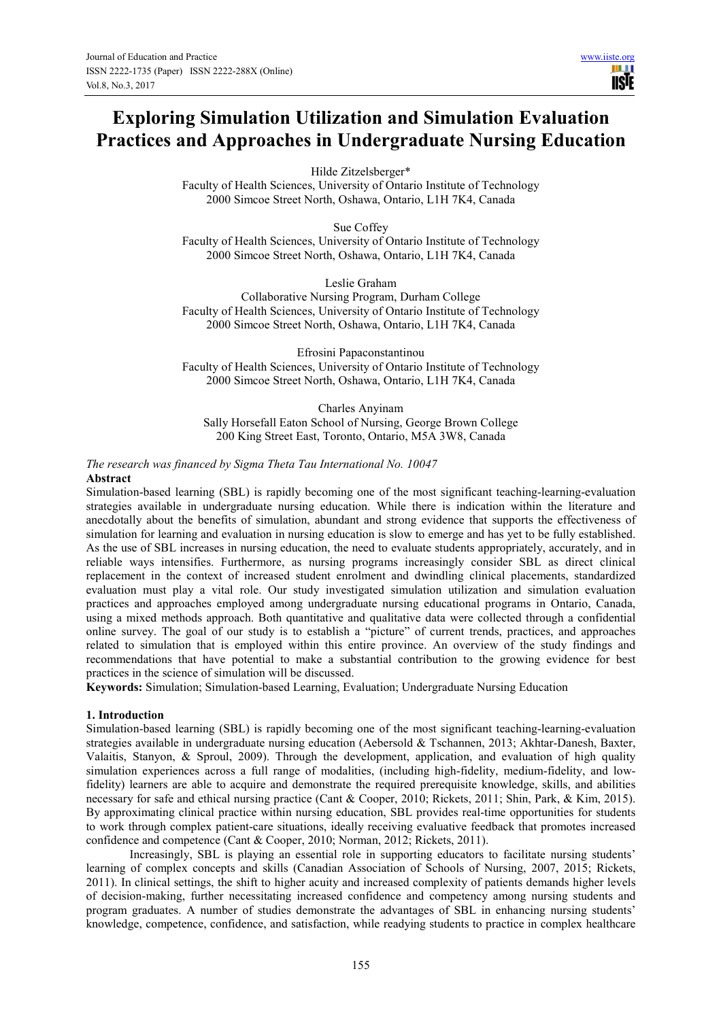III I **IISTE** 

Hilde Zitzelsberger\*

Faculty of Health Sciences, University of Ontario Institute of Technology 2000 Simcoe Street North, Oshawa, Ontario, L1H 7K4, Canada

Sue Coffey Faculty of Health Sciences, University of Ontario Institute of Technology 2000 Simcoe Street North, Oshawa, Ontario, L1H 7K4, Canada

Leslie Graham

Collaborative Nursing Program, Durham College Faculty of Health Sciences, University of Ontario Institute of Technology 2000 Simcoe Street North, Oshawa, Ontario, L1H 7K4, Canada

Efrosini Papaconstantinou Faculty of Health Sciences, University of Ontario Institute of Technology 2000 Simcoe Street North, Oshawa, Ontario, L1H 7K4, Canada

Charles Anyinam Sally Horsefall Eaton School of Nursing, George Brown College 200 King Street East, Toronto, Ontario, M5A 3W8, Canada

*The research was financed by Sigma Theta Tau International No. 10047*  **Abstract** 

Simulation-based learning (SBL) is rapidly becoming one of the most significant teaching-learning-evaluation strategies available in undergraduate nursing education. While there is indication within the literature and anecdotally about the benefits of simulation, abundant and strong evidence that supports the effectiveness of simulation for learning and evaluation in nursing education is slow to emerge and has yet to be fully established. As the use of SBL increases in nursing education, the need to evaluate students appropriately, accurately, and in reliable ways intensifies. Furthermore, as nursing programs increasingly consider SBL as direct clinical replacement in the context of increased student enrolment and dwindling clinical placements, standardized evaluation must play a vital role. Our study investigated simulation utilization and simulation evaluation practices and approaches employed among undergraduate nursing educational programs in Ontario, Canada, using a mixed methods approach. Both quantitative and qualitative data were collected through a confidential online survey. The goal of our study is to establish a "picture" of current trends, practices, and approaches related to simulation that is employed within this entire province. An overview of the study findings and recommendations that have potential to make a substantial contribution to the growing evidence for best practices in the science of simulation will be discussed.

**Keywords:** Simulation; Simulation-based Learning, Evaluation; Undergraduate Nursing Education

#### **1. Introduction**

Simulation-based learning (SBL) is rapidly becoming one of the most significant teaching-learning-evaluation strategies available in undergraduate nursing education (Aebersold & Tschannen, 2013; Akhtar-Danesh, Baxter, Valaitis, Stanyon, & Sproul, 2009). Through the development, application, and evaluation of high quality simulation experiences across a full range of modalities, (including high-fidelity, medium-fidelity, and lowfidelity) learners are able to acquire and demonstrate the required prerequisite knowledge, skills, and abilities necessary for safe and ethical nursing practice (Cant & Cooper, 2010; Rickets, 2011; Shin, Park, & Kim, 2015). By approximating clinical practice within nursing education, SBL provides real-time opportunities for students to work through complex patient-care situations, ideally receiving evaluative feedback that promotes increased confidence and competence (Cant & Cooper, 2010; Norman, 2012; Rickets, 2011).

Increasingly, SBL is playing an essential role in supporting educators to facilitate nursing students' learning of complex concepts and skills (Canadian Association of Schools of Nursing, 2007, 2015; Rickets, 2011). In clinical settings, the shift to higher acuity and increased complexity of patients demands higher levels of decision-making, further necessitating increased confidence and competency among nursing students and program graduates. A number of studies demonstrate the advantages of SBL in enhancing nursing students' knowledge, competence, confidence, and satisfaction, while readying students to practice in complex healthcare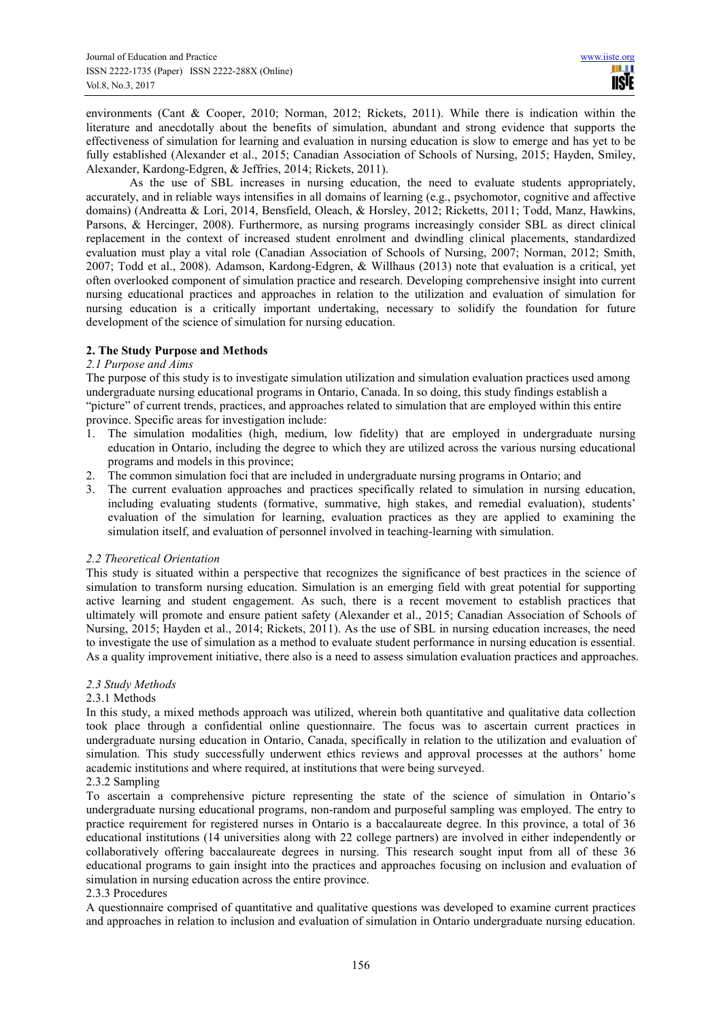environments (Cant & Cooper, 2010; Norman, 2012; Rickets, 2011). While there is indication within the literature and anecdotally about the benefits of simulation, abundant and strong evidence that supports the effectiveness of simulation for learning and evaluation in nursing education is slow to emerge and has yet to be fully established (Alexander et al., 2015; Canadian Association of Schools of Nursing, 2015; Hayden, Smiley, Alexander, Kardong-Edgren, & Jeffries, 2014; Rickets, 2011).

As the use of SBL increases in nursing education, the need to evaluate students appropriately, accurately, and in reliable ways intensifies in all domains of learning (e.g., psychomotor, cognitive and affective domains) (Andreatta & Lori, 2014, Bensfield, Oleach, & Horsley, 2012; Ricketts, 2011; Todd, Manz, Hawkins, Parsons, & Hercinger, 2008). Furthermore, as nursing programs increasingly consider SBL as direct clinical replacement in the context of increased student enrolment and dwindling clinical placements, standardized evaluation must play a vital role (Canadian Association of Schools of Nursing, 2007; Norman, 2012; Smith, 2007; Todd et al., 2008). Adamson, Kardong-Edgren, & Willhaus (2013) note that evaluation is a critical, yet often overlooked component of simulation practice and research. Developing comprehensive insight into current nursing educational practices and approaches in relation to the utilization and evaluation of simulation for nursing education is a critically important undertaking, necessary to solidify the foundation for future development of the science of simulation for nursing education.

# **2. The Study Purpose and Methods**

### *2.1 Purpose and Aims*

The purpose of this study is to investigate simulation utilization and simulation evaluation practices used among undergraduate nursing educational programs in Ontario, Canada. In so doing, this study findings establish a "picture" of current trends, practices, and approaches related to simulation that are employed within this entire province. Specific areas for investigation include:

- 1. The simulation modalities (high, medium, low fidelity) that are employed in undergraduate nursing education in Ontario, including the degree to which they are utilized across the various nursing educational programs and models in this province;
- 2. The common simulation foci that are included in undergraduate nursing programs in Ontario; and
- 3. The current evaluation approaches and practices specifically related to simulation in nursing education, including evaluating students (formative, summative, high stakes, and remedial evaluation), students' evaluation of the simulation for learning, evaluation practices as they are applied to examining the simulation itself, and evaluation of personnel involved in teaching-learning with simulation.

### *2.2 Theoretical Orientation*

This study is situated within a perspective that recognizes the significance of best practices in the science of simulation to transform nursing education. Simulation is an emerging field with great potential for supporting active learning and student engagement. As such, there is a recent movement to establish practices that ultimately will promote and ensure patient safety (Alexander et al., 2015; Canadian Association of Schools of Nursing, 2015; Hayden et al., 2014; Rickets, 2011). As the use of SBL in nursing education increases, the need to investigate the use of simulation as a method to evaluate student performance in nursing education is essential. As a quality improvement initiative, there also is a need to assess simulation evaluation practices and approaches.

### *2.3 Study Methods*

### 2.3.1 Methods

In this study, a mixed methods approach was utilized, wherein both quantitative and qualitative data collection took place through a confidential online questionnaire. The focus was to ascertain current practices in undergraduate nursing education in Ontario, Canada, specifically in relation to the utilization and evaluation of simulation. This study successfully underwent ethics reviews and approval processes at the authors' home academic institutions and where required, at institutions that were being surveyed.

## 2.3.2 Sampling

To ascertain a comprehensive picture representing the state of the science of simulation in Ontario's undergraduate nursing educational programs, non-random and purposeful sampling was employed. The entry to practice requirement for registered nurses in Ontario is a baccalaureate degree. In this province, a total of 36 educational institutions (14 universities along with 22 college partners) are involved in either independently or collaboratively offering baccalaureate degrees in nursing. This research sought input from all of these 36 educational programs to gain insight into the practices and approaches focusing on inclusion and evaluation of simulation in nursing education across the entire province.

### 2.3.3 Procedures

A questionnaire comprised of quantitative and qualitative questions was developed to examine current practices and approaches in relation to inclusion and evaluation of simulation in Ontario undergraduate nursing education.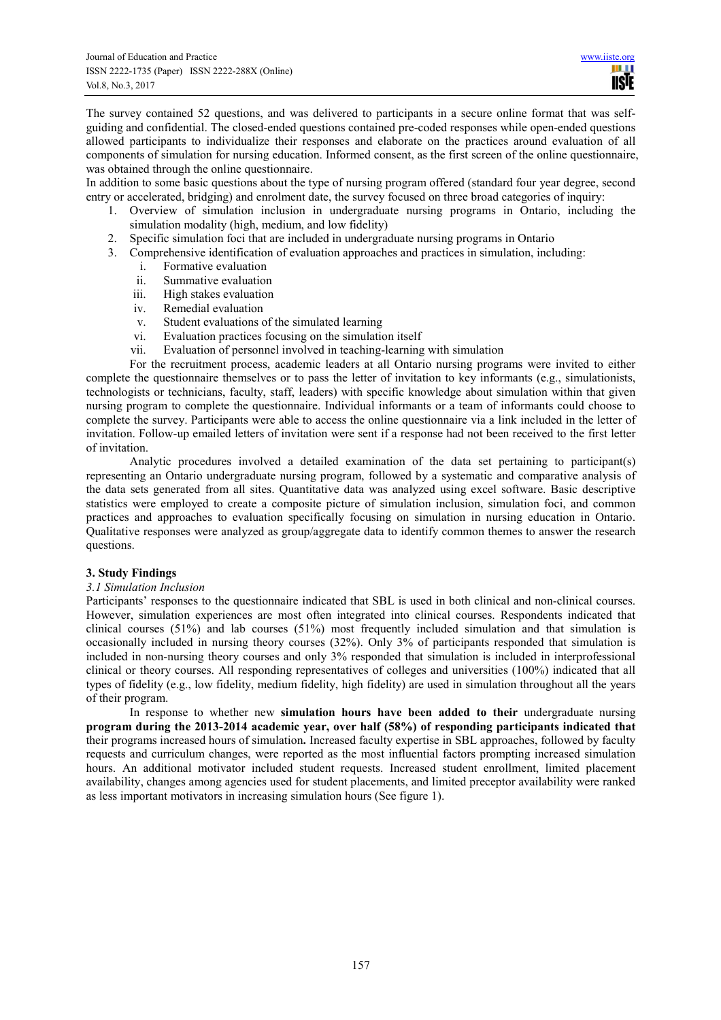The survey contained 52 questions, and was delivered to participants in a secure online format that was selfguiding and confidential. The closed-ended questions contained pre-coded responses while open-ended questions allowed participants to individualize their responses and elaborate on the practices around evaluation of all components of simulation for nursing education. Informed consent, as the first screen of the online questionnaire, was obtained through the online questionnaire.

In addition to some basic questions about the type of nursing program offered (standard four year degree, second entry or accelerated, bridging) and enrolment date, the survey focused on three broad categories of inquiry:

- 1. Overview of simulation inclusion in undergraduate nursing programs in Ontario, including the simulation modality (high, medium, and low fidelity)
- 2. Specific simulation foci that are included in undergraduate nursing programs in Ontario
- 3. Comprehensive identification of evaluation approaches and practices in simulation, including:
	- i. Formative evaluation
	- ii. Summative evaluation
	- iii. High stakes evaluation
	- iv. Remedial evaluation
	- v. Student evaluations of the simulated learning
	- vi. Evaluation practices focusing on the simulation itself
	- vii. Evaluation of personnel involved in teaching-learning with simulation

For the recruitment process, academic leaders at all Ontario nursing programs were invited to either complete the questionnaire themselves or to pass the letter of invitation to key informants (e.g., simulationists, technologists or technicians, faculty, staff, leaders) with specific knowledge about simulation within that given nursing program to complete the questionnaire. Individual informants or a team of informants could choose to complete the survey. Participants were able to access the online questionnaire via a link included in the letter of invitation. Follow-up emailed letters of invitation were sent if a response had not been received to the first letter of invitation.

Analytic procedures involved a detailed examination of the data set pertaining to participant(s) representing an Ontario undergraduate nursing program, followed by a systematic and comparative analysis of the data sets generated from all sites. Quantitative data was analyzed using excel software. Basic descriptive statistics were employed to create a composite picture of simulation inclusion, simulation foci, and common practices and approaches to evaluation specifically focusing on simulation in nursing education in Ontario. Qualitative responses were analyzed as group/aggregate data to identify common themes to answer the research questions.

#### **3. Study Findings**

#### *3.1 Simulation Inclusion*

Participants' responses to the questionnaire indicated that SBL is used in both clinical and non-clinical courses. However, simulation experiences are most often integrated into clinical courses. Respondents indicated that clinical courses (51%) and lab courses (51%) most frequently included simulation and that simulation is occasionally included in nursing theory courses (32%). Only 3% of participants responded that simulation is included in non-nursing theory courses and only 3% responded that simulation is included in interprofessional clinical or theory courses. All responding representatives of colleges and universities (100%) indicated that all types of fidelity (e.g., low fidelity, medium fidelity, high fidelity) are used in simulation throughout all the years of their program.

In response to whether new **simulation hours have been added to their** undergraduate nursing **program during the 2013-2014 academic year, over half (58%) of responding participants indicated that**  their programs increased hours of simulation**.** Increased faculty expertise in SBL approaches, followed by faculty requests and curriculum changes, were reported as the most influential factors prompting increased simulation hours. An additional motivator included student requests. Increased student enrollment, limited placement availability, changes among agencies used for student placements, and limited preceptor availability were ranked as less important motivators in increasing simulation hours (See figure 1).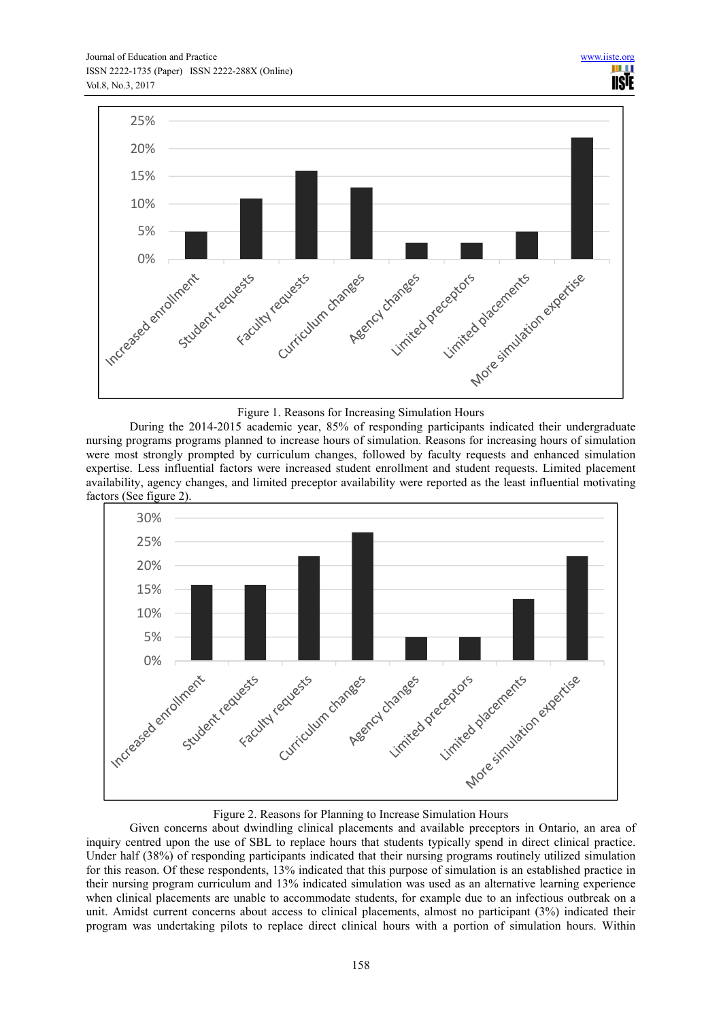

#### Figure 1. Reasons for Increasing Simulation Hours

During the 2014-2015 academic year, 85% of responding participants indicated their undergraduate nursing programs programs planned to increase hours of simulation. Reasons for increasing hours of simulation were most strongly prompted by curriculum changes, followed by faculty requests and enhanced simulation expertise. Less influential factors were increased student enrollment and student requests. Limited placement availability, agency changes, and limited preceptor availability were reported as the least influential motivating factors (See figure 2).



### Figure 2. Reasons for Planning to Increase Simulation Hours

Given concerns about dwindling clinical placements and available preceptors in Ontario, an area of inquiry centred upon the use of SBL to replace hours that students typically spend in direct clinical practice. Under half (38%) of responding participants indicated that their nursing programs routinely utilized simulation for this reason. Of these respondents, 13% indicated that this purpose of simulation is an established practice in their nursing program curriculum and 13% indicated simulation was used as an alternative learning experience when clinical placements are unable to accommodate students, for example due to an infectious outbreak on a unit. Amidst current concerns about access to clinical placements, almost no participant (3%) indicated their program was undertaking pilots to replace direct clinical hours with a portion of simulation hours. Within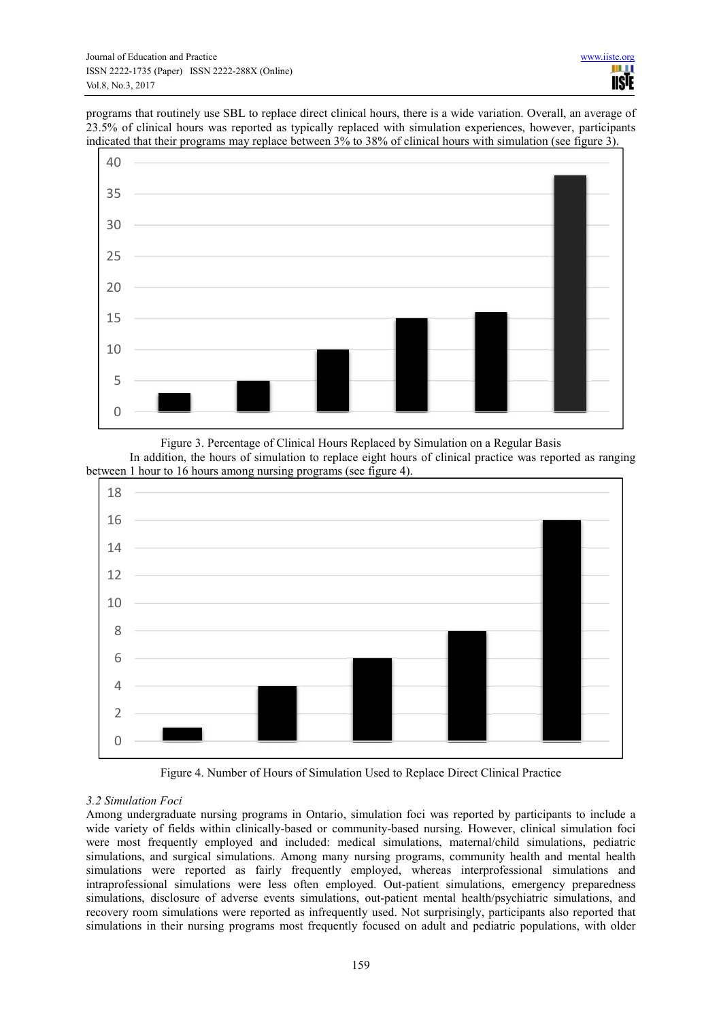programs that routinely use SBL to replace direct clinical hours, there is a wide variation. Overall, an average of 23.5% of clinical hours was reported as typically replaced with simulation experiences, however, participants indicated that their programs may replace between 3% to 38% of clinical hours with simulation (see figure 3).



Figure 3. Percentage of Clinical Hours Replaced by Simulation on a Regular Basis In addition, the hours of simulation to replace eight hours of clinical practice was reported as ranging between 1 hour to 16 hours among nursing programs (see figure 4).



Figure 4. Number of Hours of Simulation Used to Replace Direct Clinical Practice

# *3.2 Simulation Foci*

Among undergraduate nursing programs in Ontario, simulation foci was reported by participants to include a wide variety of fields within clinically-based or community-based nursing. However, clinical simulation foci were most frequently employed and included: medical simulations, maternal/child simulations, pediatric simulations, and surgical simulations. Among many nursing programs, community health and mental health simulations were reported as fairly frequently employed, whereas interprofessional simulations and intraprofessional simulations were less often employed. Out-patient simulations, emergency preparedness simulations, disclosure of adverse events simulations, out-patient mental health/psychiatric simulations, and recovery room simulations were reported as infrequently used. Not surprisingly, participants also reported that simulations in their nursing programs most frequently focused on adult and pediatric populations, with older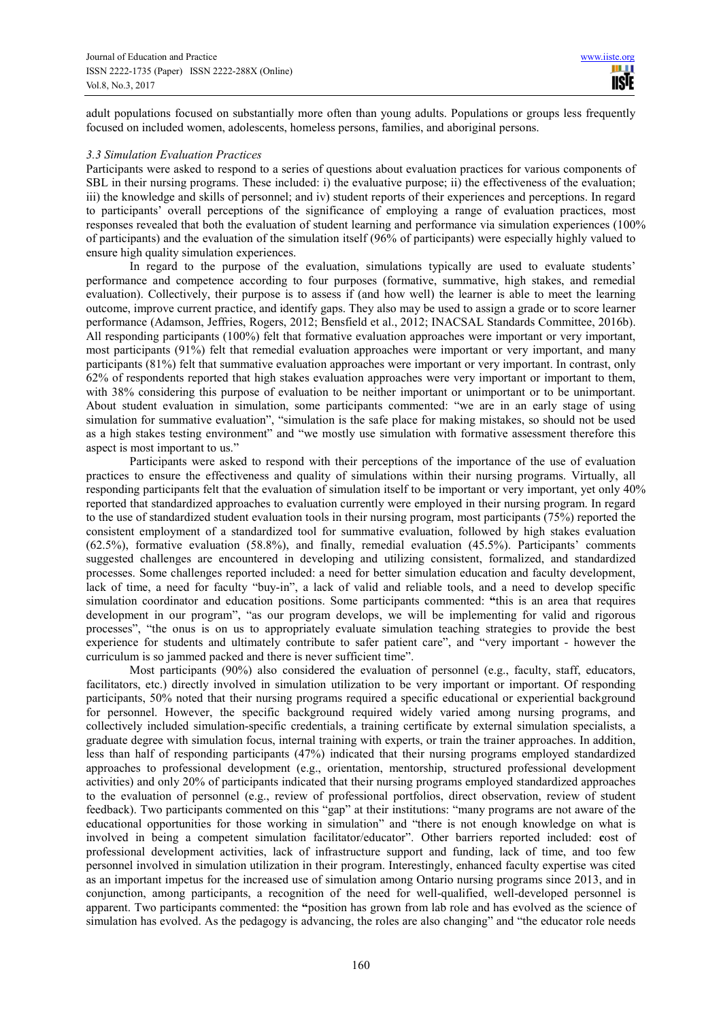adult populations focused on substantially more often than young adults. Populations or groups less frequently focused on included women, adolescents, homeless persons, families, and aboriginal persons.

#### *3.3 Simulation Evaluation Practices*

Participants were asked to respond to a series of questions about evaluation practices for various components of SBL in their nursing programs. These included: i) the evaluative purpose; ii) the effectiveness of the evaluation; iii) the knowledge and skills of personnel; and iv) student reports of their experiences and perceptions. In regard to participants' overall perceptions of the significance of employing a range of evaluation practices, most responses revealed that both the evaluation of student learning and performance via simulation experiences (100% of participants) and the evaluation of the simulation itself (96% of participants) were especially highly valued to ensure high quality simulation experiences.

In regard to the purpose of the evaluation, simulations typically are used to evaluate students' performance and competence according to four purposes (formative, summative, high stakes, and remedial evaluation). Collectively, their purpose is to assess if (and how well) the learner is able to meet the learning outcome, improve current practice, and identify gaps. They also may be used to assign a grade or to score learner performance (Adamson, Jeffries, Rogers, 2012; Bensfield et al., 2012; INACSAL Standards Committee, 2016b). All responding participants (100%) felt that formative evaluation approaches were important or very important, most participants (91%) felt that remedial evaluation approaches were important or very important, and many participants (81%) felt that summative evaluation approaches were important or very important. In contrast, only 62% of respondents reported that high stakes evaluation approaches were very important or important to them, with 38% considering this purpose of evaluation to be neither important or unimportant or to be unimportant. About student evaluation in simulation, some participants commented: "we are in an early stage of using simulation for summative evaluation", "simulation is the safe place for making mistakes, so should not be used as a high stakes testing environment" and "we mostly use simulation with formative assessment therefore this aspect is most important to us."

Participants were asked to respond with their perceptions of the importance of the use of evaluation practices to ensure the effectiveness and quality of simulations within their nursing programs. Virtually, all responding participants felt that the evaluation of simulation itself to be important or very important, yet only 40% reported that standardized approaches to evaluation currently were employed in their nursing program. In regard to the use of standardized student evaluation tools in their nursing program, most participants (75%) reported the consistent employment of a standardized tool for summative evaluation, followed by high stakes evaluation (62.5%), formative evaluation (58.8%), and finally, remedial evaluation (45.5%). Participants' comments suggested challenges are encountered in developing and utilizing consistent, formalized, and standardized processes. Some challenges reported included: a need for better simulation education and faculty development, lack of time, a need for faculty "buy-in", a lack of valid and reliable tools, and a need to develop specific simulation coordinator and education positions. Some participants commented: **"**this is an area that requires development in our program", "as our program develops, we will be implementing for valid and rigorous processes", "the onus is on us to appropriately evaluate simulation teaching strategies to provide the best experience for students and ultimately contribute to safer patient care", and "very important - however the curriculum is so jammed packed and there is never sufficient time".

Most participants (90%) also considered the evaluation of personnel (e.g., faculty, staff, educators, facilitators, etc.) directly involved in simulation utilization to be very important or important. Of responding participants, 50% noted that their nursing programs required a specific educational or experiential background for personnel. However, the specific background required widely varied among nursing programs, and collectively included simulation-specific credentials, a training certificate by external simulation specialists, a graduate degree with simulation focus, internal training with experts, or train the trainer approaches. In addition, less than half of responding participants (47%) indicated that their nursing programs employed standardized approaches to professional development (e.g., orientation, mentorship, structured professional development activities) and only 20% of participants indicated that their nursing programs employed standardized approaches to the evaluation of personnel (e.g., review of professional portfolios, direct observation, review of student feedback). Two participants commented on this "gap" at their institutions: "many programs are not aware of the educational opportunities for those working in simulation" and "there is not enough knowledge on what is involved in being a competent simulation facilitator/educator". Other barriers reported included: **c**ost of professional development activities, lack of infrastructure support and funding, lack of time, and too few personnel involved in simulation utilization in their program. Interestingly, enhanced faculty expertise was cited as an important impetus for the increased use of simulation among Ontario nursing programs since 2013, and in conjunction, among participants, a recognition of the need for well-qualified, well-developed personnel is apparent. Two participants commented: the **"**position has grown from lab role and has evolved as the science of simulation has evolved. As the pedagogy is advancing, the roles are also changing" and "the educator role needs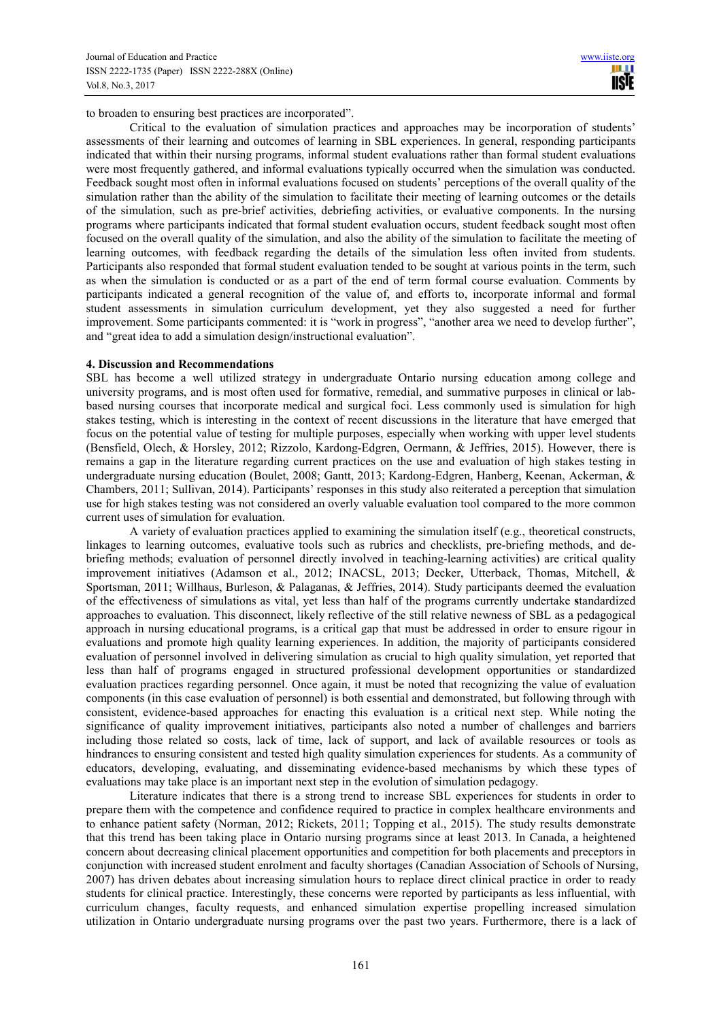to broaden to ensuring best practices are incorporated".

Critical to the evaluation of simulation practices and approaches may be incorporation of students' assessments of their learning and outcomes of learning in SBL experiences. In general, responding participants indicated that within their nursing programs, informal student evaluations rather than formal student evaluations were most frequently gathered, and informal evaluations typically occurred when the simulation was conducted. Feedback sought most often in informal evaluations focused on students' perceptions of the overall quality of the simulation rather than the ability of the simulation to facilitate their meeting of learning outcomes or the details of the simulation, such as pre-brief activities, debriefing activities, or evaluative components. In the nursing programs where participants indicated that formal student evaluation occurs, student feedback sought most often focused on the overall quality of the simulation, and also the ability of the simulation to facilitate the meeting of learning outcomes, with feedback regarding the details of the simulation less often invited from students. Participants also responded that formal student evaluation tended to be sought at various points in the term, such as when the simulation is conducted or as a part of the end of term formal course evaluation. Comments by participants indicated a general recognition of the value of, and efforts to, incorporate informal and formal student assessments in simulation curriculum development, yet they also suggested a need for further improvement. Some participants commented: it is "work in progress", "another area we need to develop further", and "great idea to add a simulation design/instructional evaluation".

#### **4. Discussion and Recommendations**

SBL has become a well utilized strategy in undergraduate Ontario nursing education among college and university programs, and is most often used for formative, remedial, and summative purposes in clinical or labbased nursing courses that incorporate medical and surgical foci. Less commonly used is simulation for high stakes testing, which is interesting in the context of recent discussions in the literature that have emerged that focus on the potential value of testing for multiple purposes, especially when working with upper level students (Bensfield, Olech, & Horsley, 2012; Rizzolo, Kardong-Edgren, Oermann, & Jeffries, 2015). However, there is remains a gap in the literature regarding current practices on the use and evaluation of high stakes testing in undergraduate nursing education (Boulet, 2008; Gantt, 2013; Kardong-Edgren, Hanberg, Keenan, Ackerman, & Chambers, 2011; Sullivan, 2014). Participants' responses in this study also reiterated a perception that simulation use for high stakes testing was not considered an overly valuable evaluation tool compared to the more common current uses of simulation for evaluation.

A variety of evaluation practices applied to examining the simulation itself (e.g., theoretical constructs, linkages to learning outcomes, evaluative tools such as rubrics and checklists, pre-briefing methods, and debriefing methods; evaluation of personnel directly involved in teaching-learning activities) are critical quality improvement initiatives (Adamson et al., 2012; INACSL, 2013; Decker, Utterback, Thomas, Mitchell, & Sportsman, 2011; Willhaus, Burleson, & Palaganas, & Jeffries, 2014). Study participants deemed the evaluation of the effectiveness of simulations as vital, yet less than half of the programs currently undertake **s**tandardized approaches to evaluation. This disconnect, likely reflective of the still relative newness of SBL as a pedagogical approach in nursing educational programs, is a critical gap that must be addressed in order to ensure rigour in evaluations and promote high quality learning experiences. In addition, the majority of participants considered evaluation of personnel involved in delivering simulation as crucial to high quality simulation, yet reported that less than half of programs engaged in structured professional development opportunities or standardized evaluation practices regarding personnel. Once again, it must be noted that recognizing the value of evaluation components (in this case evaluation of personnel) is both essential and demonstrated, but following through with consistent, evidence-based approaches for enacting this evaluation is a critical next step. While noting the significance of quality improvement initiatives, participants also noted a number of challenges and barriers including those related so costs, lack of time, lack of support, and lack of available resources or tools as hindrances to ensuring consistent and tested high quality simulation experiences for students. As a community of educators, developing, evaluating, and disseminating evidence-based mechanisms by which these types of evaluations may take place is an important next step in the evolution of simulation pedagogy.

Literature indicates that there is a strong trend to increase SBL experiences for students in order to prepare them with the competence and confidence required to practice in complex healthcare environments and to enhance patient safety (Norman, 2012; Rickets, 2011; Topping et al., 2015). The study results demonstrate that this trend has been taking place in Ontario nursing programs since at least 2013. In Canada, a heightened concern about decreasing clinical placement opportunities and competition for both placements and preceptors in conjunction with increased student enrolment and faculty shortages (Canadian Association of Schools of Nursing, 2007) has driven debates about increasing simulation hours to replace direct clinical practice in order to ready students for clinical practice. Interestingly, these concerns were reported by participants as less influential, with curriculum changes, faculty requests, and enhanced simulation expertise propelling increased simulation utilization in Ontario undergraduate nursing programs over the past two years. Furthermore, there is a lack of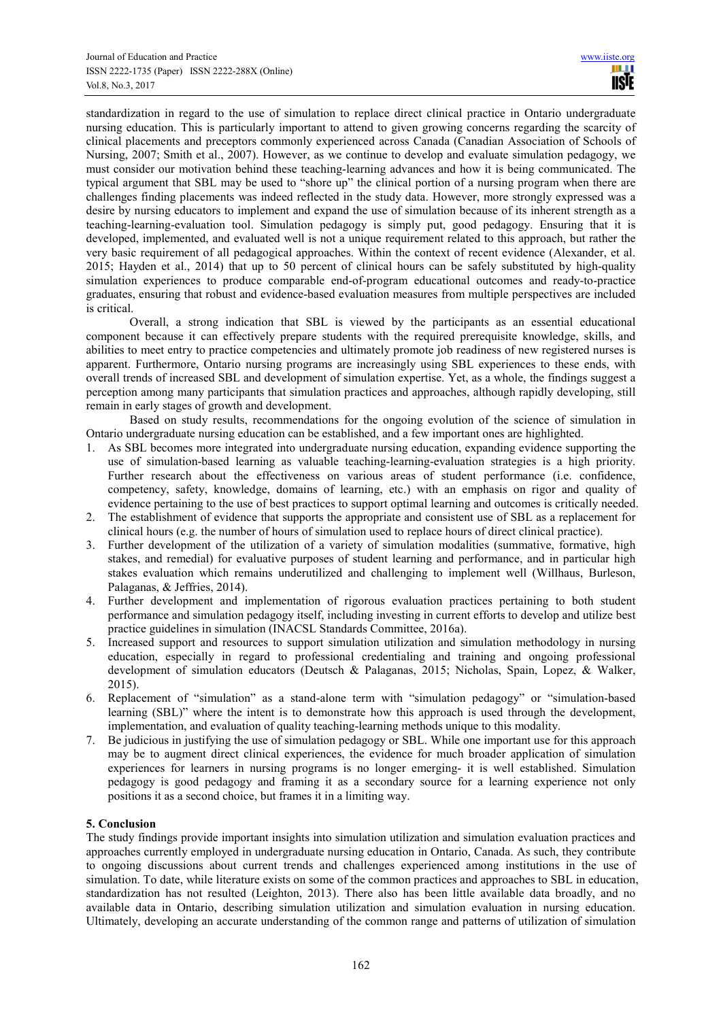standardization in regard to the use of simulation to replace direct clinical practice in Ontario undergraduate nursing education. This is particularly important to attend to given growing concerns regarding the scarcity of clinical placements and preceptors commonly experienced across Canada (Canadian Association of Schools of Nursing, 2007; Smith et al., 2007). However, as we continue to develop and evaluate simulation pedagogy, we must consider our motivation behind these teaching-learning advances and how it is being communicated. The typical argument that SBL may be used to "shore up" the clinical portion of a nursing program when there are challenges finding placements was indeed reflected in the study data. However, more strongly expressed was a desire by nursing educators to implement and expand the use of simulation because of its inherent strength as a teaching-learning-evaluation tool. Simulation pedagogy is simply put, good pedagogy. Ensuring that it is developed, implemented, and evaluated well is not a unique requirement related to this approach, but rather the very basic requirement of all pedagogical approaches. Within the context of recent evidence (Alexander, et al. 2015; Hayden et al., 2014) that up to 50 percent of clinical hours can be safely substituted by high-quality simulation experiences to produce comparable end-of-program educational outcomes and ready-to-practice graduates, ensuring that robust and evidence-based evaluation measures from multiple perspectives are included is critical.

Overall, a strong indication that SBL is viewed by the participants as an essential educational component because it can effectively prepare students with the required prerequisite knowledge, skills, and abilities to meet entry to practice competencies and ultimately promote job readiness of new registered nurses is apparent. Furthermore, Ontario nursing programs are increasingly using SBL experiences to these ends, with overall trends of increased SBL and development of simulation expertise. Yet, as a whole, the findings suggest a perception among many participants that simulation practices and approaches, although rapidly developing, still remain in early stages of growth and development.

Based on study results, recommendations for the ongoing evolution of the science of simulation in Ontario undergraduate nursing education can be established, and a few important ones are highlighted.

- 1. As SBL becomes more integrated into undergraduate nursing education, expanding evidence supporting the use of simulation-based learning as valuable teaching-learning-evaluation strategies is a high priority. Further research about the effectiveness on various areas of student performance (i.e. confidence, competency, safety, knowledge, domains of learning, etc.) with an emphasis on rigor and quality of evidence pertaining to the use of best practices to support optimal learning and outcomes is critically needed.
- 2. The establishment of evidence that supports the appropriate and consistent use of SBL as a replacement for clinical hours (e.g. the number of hours of simulation used to replace hours of direct clinical practice).
- 3. Further development of the utilization of a variety of simulation modalities (summative, formative, high stakes, and remedial) for evaluative purposes of student learning and performance, and in particular high stakes evaluation which remains underutilized and challenging to implement well (Willhaus, Burleson, Palaganas, & Jeffries, 2014).
- 4. Further development and implementation of rigorous evaluation practices pertaining to both student performance and simulation pedagogy itself, including investing in current efforts to develop and utilize best practice guidelines in simulation (INACSL Standards Committee, 2016a).
- 5. Increased support and resources to support simulation utilization and simulation methodology in nursing education, especially in regard to professional credentialing and training and ongoing professional development of simulation educators (Deutsch & Palaganas, 2015; Nicholas, Spain, Lopez, & Walker, 2015).
- 6. Replacement of "simulation" as a stand-alone term with "simulation pedagogy" or "simulation-based learning (SBL)" where the intent is to demonstrate how this approach is used through the development, implementation, and evaluation of quality teaching-learning methods unique to this modality.
- 7. Be judicious in justifying the use of simulation pedagogy or SBL. While one important use for this approach may be to augment direct clinical experiences, the evidence for much broader application of simulation experiences for learners in nursing programs is no longer emerging- it is well established. Simulation pedagogy is good pedagogy and framing it as a secondary source for a learning experience not only positions it as a second choice, but frames it in a limiting way.

### **5. Conclusion**

The study findings provide important insights into simulation utilization and simulation evaluation practices and approaches currently employed in undergraduate nursing education in Ontario, Canada. As such, they contribute to ongoing discussions about current trends and challenges experienced among institutions in the use of simulation. To date, while literature exists on some of the common practices and approaches to SBL in education, standardization has not resulted (Leighton, 2013). There also has been little available data broadly, and no available data in Ontario, describing simulation utilization and simulation evaluation in nursing education. Ultimately, developing an accurate understanding of the common range and patterns of utilization of simulation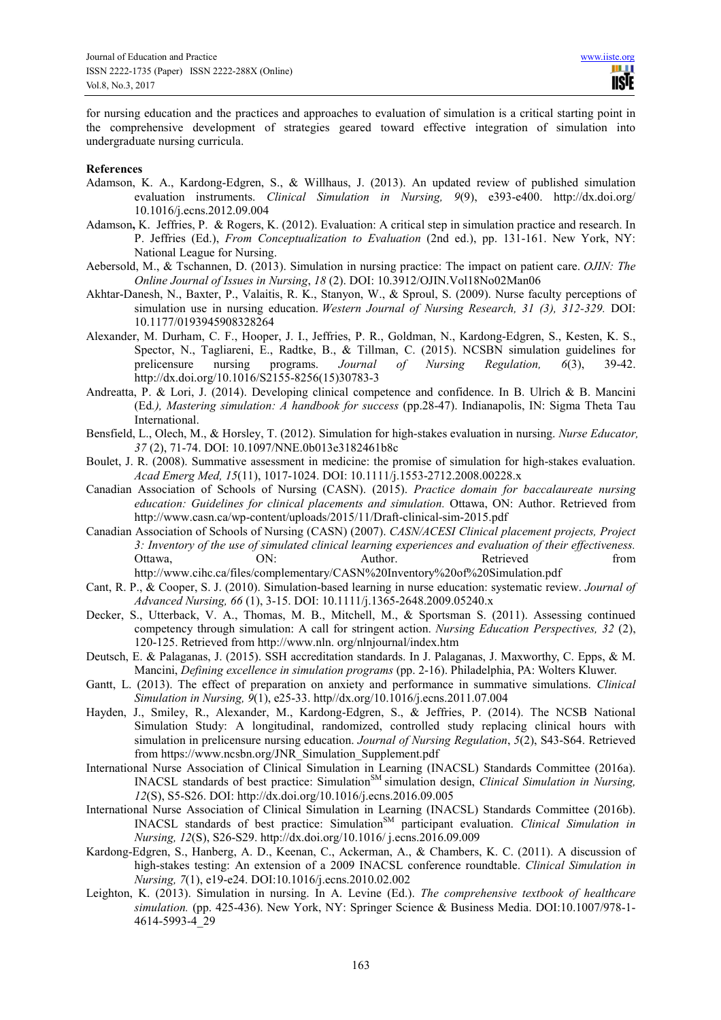for nursing education and the practices and approaches to evaluation of simulation is a critical starting point in the comprehensive development of strategies geared toward effective integration of simulation into undergraduate nursing curricula.

#### **References**

- Adamson, K. A., Kardong-Edgren, S., & Willhaus, J. (2013). An updated review of published simulation evaluation instruments. *Clinical Simulation in Nursing, 9*(9), e393-e400. http://dx.doi.org/ 10.1016/j.ecns.2012.09.004
- Adamson**,** K. Jeffries, P. & Rogers, K. (2012). Evaluation: A critical step in simulation practice and research. In P. Jeffries (Ed.), *From Conceptualization to Evaluation* (2nd ed.), pp. 131-161. New York, NY: National League for Nursing.
- Aebersold, M., & Tschannen, D. (2013). Simulation in nursing practice: The impact on patient care. *OJIN: The Online Journal of Issues in Nursing*, *18* (2). DOI: 10.3912/OJIN.Vol18No02Man06
- Akhtar-Danesh, N., Baxter, P., Valaitis, R. K., Stanyon, W., & Sproul, S. (2009). Nurse faculty perceptions of simulation use in nursing education. *Western Journal of Nursing Research, 31 (3), 312-329.* DOI: 10.1177/0193945908328264
- Alexander, M. Durham, C. F., Hooper, J. I., Jeffries, P. R., Goldman, N., Kardong-Edgren, S., Kesten, K. S., Spector, N., Tagliareni, E., Radtke, B., & Tillman, C. (2015). NCSBN simulation guidelines for prelicensure nursing programs. Journal of Nursing Regulation, 6(3), 39-42. prelicensure nursing programs. *Journal of Nursing Regulation, 6*(3), 39-42. http://dx.doi.org/10.1016/S2155-8256(15)30783-3
- Andreatta, P. & Lori, J. (2014). Developing clinical competence and confidence. In B. Ulrich & B. Mancini (Ed*.), Mastering simulation: A handbook for success* (pp.28-47). Indianapolis, IN: Sigma Theta Tau International.
- Bensfield, L., Olech, M., & Horsley, T. (2012). Simulation for high-stakes evaluation in nursing. *Nurse Educator, 37* (2), 71-74. DOI: 10.1097/NNE.0b013e3182461b8c
- Boulet, J. R. (2008). Summative assessment in medicine: the promise of simulation for high-stakes evaluation. *Acad Emerg Med, 15*(11), 1017-1024. DOI: 10.1111/j.1553-2712.2008.00228.x
- Canadian Association of Schools of Nursing (CASN). (2015). *Practice domain for baccalaureate nursing education: Guidelines for clinical placements and simulation.* Ottawa, ON: Author. Retrieved from http://www.casn.ca/wp-content/uploads/2015/11/Draft-clinical-sim-2015.pdf
- Canadian Association of Schools of Nursing (CASN) (2007). *CASN/ACESI Clinical placement projects, Project 3: Inventory of the use of simulated clinical learning experiences and evaluation of their effectiveness.*  Ottawa, **ON:** Author. Retrieved from http://www.cihc.ca/files/complementary/CASN%20Inventory%20of%20Simulation.pdf
- Cant, R. P., & Cooper, S. J. (2010). Simulation-based learning in nurse education: systematic review. *Journal of Advanced Nursing, 66* (1), 3-15. DOI: 10.1111/j.1365-2648.2009.05240.x
- Decker, S., Utterback, V. A., Thomas, M. B., Mitchell, M., & Sportsman S. (2011). Assessing continued competency through simulation: A call for stringent action. *Nursing Education Perspectives, 32* (2), 120-125. Retrieved from http://www.nln. org/nlnjournal/index.htm
- Deutsch, E. & Palaganas, J. (2015). SSH accreditation standards. In J. Palaganas, J. Maxworthy, C. Epps, & M. Mancini, *Defining excellence in simulation programs* (pp. 2-16). Philadelphia, PA: Wolters Kluwer.
- Gantt, L. (2013). The effect of preparation on anxiety and performance in summative simulations. *Clinical Simulation in Nursing, 9*(1), e25-33. http//dx.org/10.1016/j.ecns.2011.07.004
- Hayden, J., Smiley, R., Alexander, M., Kardong-Edgren, S., & Jeffries, P. (2014). The NCSB National Simulation Study: A longitudinal, randomized, controlled study replacing clinical hours with simulation in prelicensure nursing education. *Journal of Nursing Regulation*, *5*(2), S43-S64. Retrieved from https://www.ncsbn.org/JNR\_Simulation\_Supplement.pdf
- International Nurse Association of Clinical Simulation in Learning (INACSL) Standards Committee (2016a). INACSL standards of best practice: Simulation<sup>SM</sup> simulation design, *Clinical Simulation in Nursing*, *12*(S), S5-S26. DOI: http://dx.doi.org/10.1016/j.ecns.2016.09.005
- International Nurse Association of Clinical Simulation in Learning (INACSL) Standards Committee (2016b). INACSL standards of best practice: Simulation<sup>SM</sup> participant evaluation. *Clinical Simulation in Nursing, 12*(S), S26-S29. http://dx.doi.org/10.1016/ j.ecns.2016.09.009
- Kardong-Edgren, S., Hanberg, A. D., Keenan, C., Ackerman, A., & Chambers, K. C. (2011). A discussion of high-stakes testing: An extension of a 2009 INACSL conference roundtable. *Clinical Simulation in Nursing, 7*(1), e19-e24. DOI:10.1016/j.ecns.2010.02.002
- Leighton, K. (2013). Simulation in nursing. In A. Levine (Ed.). *The comprehensive textbook of healthcare simulation.* (pp. 425-436). New York, NY: Springer Science & Business Media. DOI:10.1007/978-1- 4614-5993-4\_29